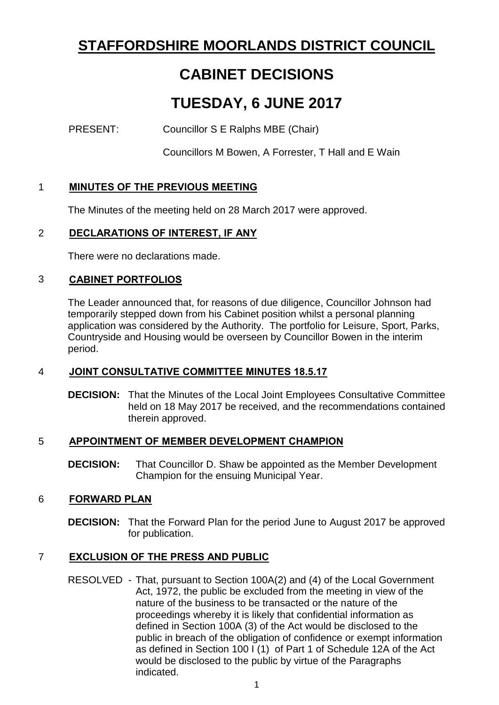# **STAFFORDSHIRE MOORLANDS DISTRICT COUNCIL**

# **CABINET DECISIONS**

# **TUESDAY, 6 JUNE 2017**

PRESENT: Councillor S E Ralphs MBE (Chair)

Councillors M Bowen, A Forrester, T Hall and E Wain

## 1 **MINUTES OF THE PREVIOUS MEETING**

The Minutes of the meeting held on 28 March 2017 were approved.

### 2 **DECLARATIONS OF INTEREST, IF ANY**

There were no declarations made.

#### 3 **CABINET PORTFOLIOS**

The Leader announced that, for reasons of due diligence, Councillor Johnson had temporarily stepped down from his Cabinet position whilst a personal planning application was considered by the Authority. The portfolio for Leisure, Sport, Parks, Countryside and Housing would be overseen by Councillor Bowen in the interim period.

### 4 **JOINT CONSULTATIVE COMMITTEE MINUTES 18.5.17**

**DECISION:** That the Minutes of the Local Joint Employees Consultative Committee held on 18 May 2017 be received, and the recommendations contained therein approved.

#### 5 **APPOINTMENT OF MEMBER DEVELOPMENT CHAMPION**

**DECISION:** That Councillor D. Shaw be appointed as the Member Development Champion for the ensuing Municipal Year.

### 6 **FORWARD PLAN**

**DECISION:** That the Forward Plan for the period June to August 2017 be approved for publication.

### 7 **EXCLUSION OF THE PRESS AND PUBLIC**

RESOLVED - That, pursuant to Section 100A(2) and (4) of the Local Government Act, 1972, the public be excluded from the meeting in view of the nature of the business to be transacted or the nature of the proceedings whereby it is likely that confidential information as defined in Section 100A (3) of the Act would be disclosed to the public in breach of the obligation of confidence or exempt information as defined in Section 100 I (1) of Part 1 of Schedule 12A of the Act would be disclosed to the public by virtue of the Paragraphs indicated.